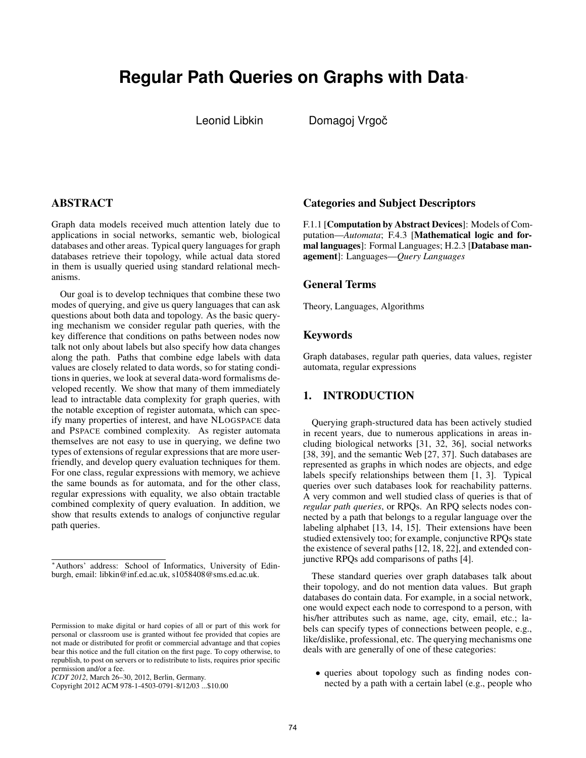# **Regular Path Queries on Graphs with Data***<sup>∗</sup>*

Leonid Libkin Domagoj Vrgoč

## **ABSTRACT**

Graph data models received much attention lately due to applications in social networks, semantic web, biological databases and other areas. Typical query languages for graph databases retrieve their topology, while actual data stored in them is usually queried using standard relational mechanisms.

Our goal is to develop techniques that combine these two modes of querying, and give us query languages that can ask questions about both data and topology. As the basic querying mechanism we consider regular path queries, with the key difference that conditions on paths between nodes now talk not only about labels but also specify how data changes along the path. Paths that combine edge labels with data values are closely related to data words, so for stating conditions in queries, we look at several data-word formalisms developed recently. We show that many of them immediately lead to intractable data complexity for graph queries, with the notable exception of register automata, which can specify many properties of interest, and have NLOGSPACE data and PSPACE combined complexity. As register automata themselves are not easy to use in querying, we define two types of extensions of regular expressions that are more userfriendly, and develop query evaluation techniques for them. For one class, regular expressions with memory, we achieve the same bounds as for automata, and for the other class, regular expressions with equality, we also obtain tractable combined complexity of query evaluation. In addition, we show that results extends to analogs of conjunctive regular path queries.

Copyright 2012 ACM 978-1-4503-0791-8/12/03 ...\$10.00

#### Categories and Subject Descriptors

F.1.1 [Computation by Abstract Devices]: Models of Computation—*Automata*; F.4.3 [Mathematical logic and formal languages]: Formal Languages; H.2.3 [Database management]: Languages—*Query Languages*

### General Terms

Theory, Languages, Algorithms

#### Keywords

Graph databases, regular path queries, data values, register automata, regular expressions

## 1. INTRODUCTION

Querying graph-structured data has been actively studied in recent years, due to numerous applications in areas including biological networks [31, 32, 36], social networks [38, 39], and the semantic Web [27, 37]. Such databases are represented as graphs in which nodes are objects, and edge labels specify relationships between them [1, 3]. Typical queries over such databases look for reachability patterns. A very common and well studied class of queries is that of *regular path queries*, or RPQs. An RPQ selects nodes connected by a path that belongs to a regular language over the labeling alphabet [13, 14, 15]. Their extensions have been studied extensively too; for example, conjunctive RPQs state the existence of several paths [12, 18, 22], and extended conjunctive RPQs add comparisons of paths [4].

These standard queries over graph databases talk about their topology, and do not mention data values. But graph databases do contain data. For example, in a social network, one would expect each node to correspond to a person, with his/her attributes such as name, age, city, email, etc.; labels can specify types of connections between people, e.g., like/dislike, professional, etc. The querying mechanisms one deals with are generally of one of these categories:

*•* queries about topology such as finding nodes connected by a path with a certain label (e.g., people who

*<sup>∗</sup>*Authors' address: School of Informatics, University of Edinburgh, email: libkin@inf.ed.ac.uk, s1058408@sms.ed.ac.uk.

Permission to make digital or hard copies of all or part of this work for personal or classroom use is granted without fee provided that copies are not made or distributed for profit or commercial advantage and that copies bear this notice and the full citation on the first page. To copy otherwise, to republish, to post on servers or to redistribute to lists, requires prior specific permission and/or a fee.

*ICDT 2012*, March 26–30, 2012, Berlin, Germany.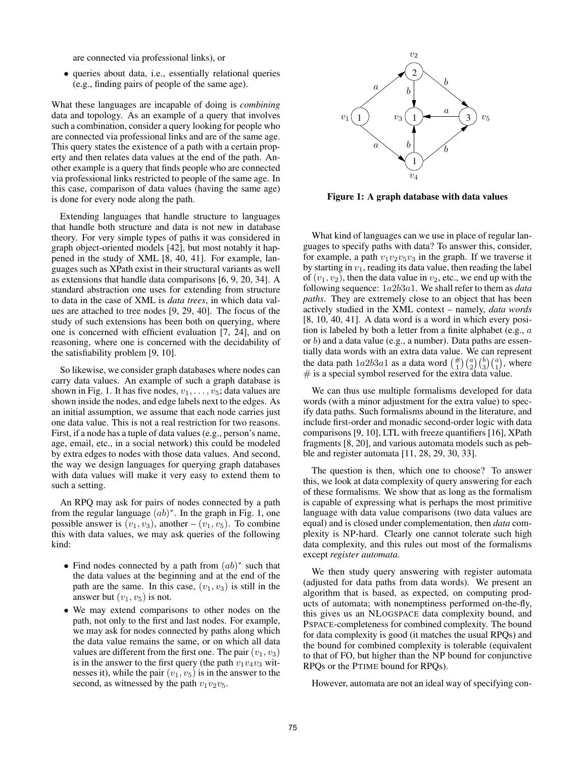are connected via professional links), or

*•* queries about data, i.e., essentially relational queries (e.g., finding pairs of people of the same age).

What these languages are incapable of doing is *combining* data and topology. As an example of a query that involves such a combination, consider a query looking for people who are connected via professional links and are of the same age. This query states the existence of a path with a certain property and then relates data values at the end of the path. Another example is a query that finds people who are connected via professional links restricted to people of the same age. In this case, comparison of data values (having the same age) is done for every node along the path.

Extending languages that handle structure to languages that handle both structure and data is not new in database theory. For very simple types of paths it was considered in graph object-oriented models [42], but most notably it happened in the study of XML [8, 40, 41]. For example, languages such as XPath exist in their structural variants as well as extensions that handle data comparisons [6, 9, 20, 34]. A standard abstraction one uses for extending from structure to data in the case of XML is *data trees*, in which data values are attached to tree nodes [9, 29, 40]. The focus of the study of such extensions has been both on querying, where one is concerned with efficient evaluation [7, 24], and on reasoning, where one is concerned with the decidability of the satisfiability problem [9, 10].

So likewise, we consider graph databases where nodes can carry data values. An example of such a graph database is shown in Fig. 1. It has five nodes,  $v_1, \ldots, v_5$ ; data values are shown inside the nodes, and edge labels next to the edges. As an initial assumption, we assume that each node carries just one data value. This is not a real restriction for two reasons. First, if a node has a tuple of data values (e.g., person's name, age, email, etc., in a social network) this could be modeled by extra edges to nodes with those data values. And second, the way we design languages for querying graph databases with data values will make it very easy to extend them to such a setting.

An RPQ may ask for pairs of nodes connected by a path from the regular language (*ab*) *∗* . In the graph in Fig. 1, one possible answer is  $(v_1, v_3)$ , another –  $(v_1, v_5)$ . To combine this with data values, we may ask queries of the following kind:

- *•* Find nodes connected by a path from (*ab*) *∗* such that the data values at the beginning and at the end of the path are the same. In this case,  $(v_1, v_3)$  is still in the answer but  $(v_1, v_5)$  is not.
- *•* We may extend comparisons to other nodes on the path, not only to the first and last nodes. For example, we may ask for nodes connected by paths along which the data value remains the same, or on which all data values are different from the first one. The pair  $(v_1, v_3)$ is in the answer to the first query (the path  $v_1v_4v_3$  witnesses it), while the pair  $(v_1, v_5)$  is in the answer to the second, as witnessed by the path  $v_1v_2v_5$ .



Figure 1: A graph database with data values

What kind of languages can we use in place of regular languages to specify paths with data? To answer this, consider, for example, a path  $v_1v_2v_5v_3$  in the graph. If we traverse it by starting in  $v_1$ , reading its data value, then reading the label of  $(v_1, v_2)$ , then the data value in  $v_2$ , etc., we end up with the following sequence: 1*a*2*b*3*a*1. We shall refer to them as *data paths*. They are extremely close to an object that has been actively studied in the XML context – namely, *data words* [8, 10, 40, 41]. A data word is a word in which every position is labeled by both a letter from a finite alphabet (e.g., *a* or *b*) and a data value (e.g., a number). Data paths are essentially data words with an extra data value. We can represent the data path  $1a2b3a1$  as a data word  $\binom{\#}{1}\binom{a}{2}\binom{b}{3}\binom{a}{1}$ , where  $#$  is a special symbol reserved for the extra data value.

We can thus use multiple formalisms developed for data words (with a minor adjustment for the extra value) to specify data paths. Such formalisms abound in the literature, and include first-order and monadic second-order logic with data comparisons [9, 10], LTL with freeze quantifiers [16], XPath fragments [8, 20], and various automata models such as pebble and register automata [11, 28, 29, 30, 33].

The question is then, which one to choose? To answer this, we look at data complexity of query answering for each of these formalisms. We show that as long as the formalism is capable of expressing what is perhaps the most primitive language with data value comparisons (two data values are equal) and is closed under complementation, then *data* complexity is NP-hard. Clearly one cannot tolerate such high data complexity, and this rules out most of the formalisms except *register automata*.

We then study query answering with register automata (adjusted for data paths from data words). We present an algorithm that is based, as expected, on computing products of automata; with nonemptiness performed on-the-fly, this gives us an NLOGSPACE data complexity bound, and PSPACE-completeness for combined complexity. The bound for data complexity is good (it matches the usual RPQs) and the bound for combined complexity is tolerable (equivalent to that of FO, but higher than the NP bound for conjunctive RPQs or the PTIME bound for RPQs).

However, automata are not an ideal way of specifying con-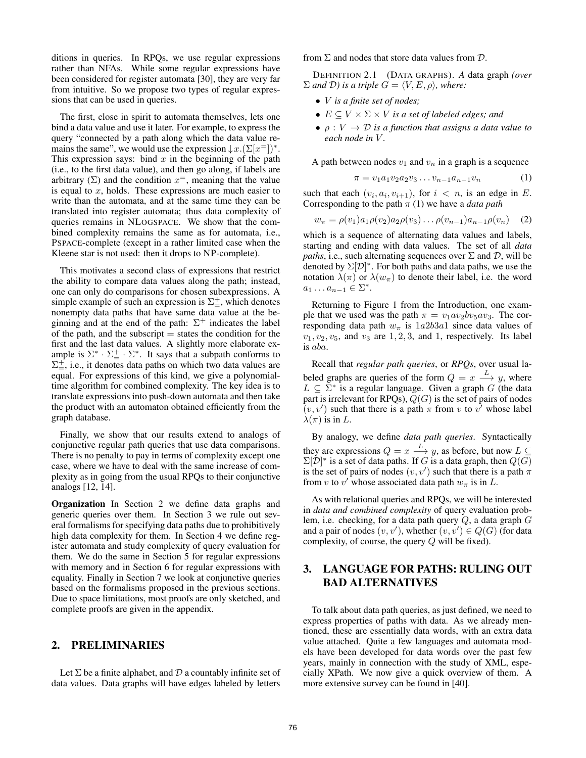ditions in queries. In RPQs, we use regular expressions rather than NFAs. While some regular expressions have been considered for register automata [30], they are very far from intuitive. So we propose two types of regular expressions that can be used in queries.

The first, close in spirit to automata themselves, lets one bind a data value and use it later. For example, to express the query "connected by a path along which the data value remains the same", we would use the expression  $\downarrow x$ .  $(\Sigma[x^=])^*$ . This expression says: bind  $x$  in the beginning of the path (i.e., to the first data value), and then go along, if labels are arbitrary  $(\Sigma)$  and the condition  $x^=$ , meaning that the value is equal to *x*, holds. These expressions are much easier to write than the automata, and at the same time they can be translated into register automata; thus data complexity of queries remains in NLOGSPACE. We show that the combined complexity remains the same as for automata, i.e., PSPACE-complete (except in a rather limited case when the Kleene star is not used: then it drops to NP-complete).

This motivates a second class of expressions that restrict the ability to compare data values along the path; instead, one can only do comparisons for chosen subexpressions. A simple example of such an expression is  $\Sigma^+$ , which denotes nonempty data paths that have same data value at the beginning and at the end of the path:  $\Sigma^+$  indicates the label of the path, and the subscript  $=$  states the condition for the first and the last data values. A slightly more elaborate example is  $\Sigma^* \cdot \Sigma^+$ . It says that a subpath conforms to  $\Sigma_{=}^+$ , i.e., it denotes data paths on which two data values are equal. For expressions of this kind, we give a polynomialtime algorithm for combined complexity. The key idea is to translate expressions into push-down automata and then take the product with an automaton obtained efficiently from the graph database.

Finally, we show that our results extend to analogs of conjunctive regular path queries that use data comparisons. There is no penalty to pay in terms of complexity except one case, where we have to deal with the same increase of complexity as in going from the usual RPQs to their conjunctive analogs [12, 14].

Organization In Section 2 we define data graphs and generic queries over them. In Section 3 we rule out several formalisms for specifying data paths due to prohibitively high data complexity for them. In Section 4 we define register automata and study complexity of query evaluation for them. We do the same in Section 5 for regular expressions with memory and in Section 6 for regular expressions with equality. Finally in Section 7 we look at conjunctive queries based on the formalisms proposed in the previous sections. Due to space limitations, most proofs are only sketched, and complete proofs are given in the appendix.

### 2. PRELIMINARIES

Let Σ be a finite alphabet, and *D* a countably infinite set of data values. Data graphs will have edges labeled by letters from Σ and nodes that store data values from *D*.

DEFINITION 2.1 (DATA GRAPHS). *A* data graph *(over*  $\Sigma$  *and*  $D$ *) is a triple*  $G = \langle V, E, \rho \rangle$ *, where:* 

- *• V is a finite set of nodes;*
- *• E ⊆ V ×* Σ *× V is a set of labeled edges; and*
- *• ρ* : *V → D is a function that assigns a data value to each node in V .*

A path between nodes  $v_1$  and  $v_n$  in a graph is a sequence

$$
\pi = v_1 a_1 v_2 a_2 v_3 \dots v_{n-1} a_{n-1} v_n \tag{1}
$$

such that each  $(v_i, a_i, v_{i+1})$ , for  $i < n$ , is an edge in *E*. Corresponding to the path *π* (1) we have a *data path*

$$
w_{\pi} = \rho(v_1)a_1\rho(v_2)a_2\rho(v_3)\dots\rho(v_{n-1})a_{n-1}\rho(v_n) \quad (2)
$$

which is a sequence of alternating data values and labels, starting and ending with data values. The set of all *data paths*, i.e., such alternating sequences over  $\Sigma$  and  $D$ , will be denoted by  $\Sigma[D]^*$ . For both paths and data paths, we use the notation  $\lambda(\pi)$  or  $\lambda(w_{\pi})$  to denote their label, i.e. the word  $a_1 \ldots a_{n-1} \in \Sigma^*$ .

Returning to Figure 1 from the Introduction, one example that we used was the path  $\pi = v_1 a v_2 b v_5 a v_3$ . The corresponding data path  $w_\pi$  is  $1a2b3a1$  since data values of  $v_1, v_2, v_5$ , and  $v_3$  are  $1, 2, 3$ , and 1, respectively. Its label is *aba*.

Recall that *regular path queries*, or *RPQs*, over usual labeled graphs are queries of the form  $Q = x \stackrel{L}{\longrightarrow} y$ , where *L ⊆* Σ *∗* is a regular language. Given a graph *G* (the data part is irrelevant for RPQs),  $Q(G)$  is the set of pairs of nodes  $(v, v')$  such that there is a path  $\pi$  from  $v$  to  $v'$  whose label *λ*( $π$ ) is in *L*.

By analogy, we define *data path queries*. Syntactically they are expressions  $Q = x \stackrel{L}{\longrightarrow} y$ , as before, but now  $L \subseteq$  $\Sigma[D]^*$  is a set of data paths. If *G* is a data graph, then  $Q(G)$ is the set of pairs of nodes  $(v, v')$  such that there is a path  $\pi$ from *v* to *v'* whose associated data path  $w_{\pi}$  is in *L*.

As with relational queries and RPQs, we will be interested in *data and combined complexity* of query evaluation problem, i.e. checking, for a data path query *Q*, a data graph *G* and a pair of nodes  $(v, v')$ , whether  $(v, v') \in Q(G)$  (for data complexity, of course, the query *Q* will be fixed).

# 3. LANGUAGE FOR PATHS: RULING OUT BAD ALTERNATIVES

To talk about data path queries, as just defined, we need to express properties of paths with data. As we already mentioned, these are essentially data words, with an extra data value attached. Quite a few languages and automata models have been developed for data words over the past few years, mainly in connection with the study of XML, especially XPath. We now give a quick overview of them. A more extensive survey can be found in [40].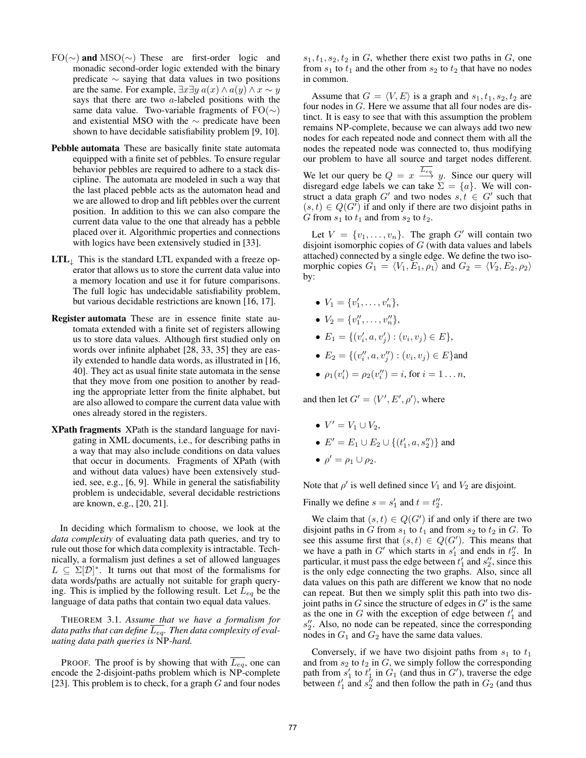- FO(*∼*) and MSO(*∼*) These are first-order logic and monadic second-order logic extended with the binary predicate *∼* saying that data values in two positions are the same. For example,  $\exists x \exists y \ a(x) \land a(y) \land x \sim y$ says that there are two *a*-labeled positions with the same data value. Two-variable fragments of FO(*∼*) and existential MSO with the *∼* predicate have been shown to have decidable satisfiability problem [9, 10].
- Pebble automata These are basically finite state automata equipped with a finite set of pebbles. To ensure regular behavior pebbles are required to adhere to a stack discipline. The automata are modeled in such a way that the last placed pebble acts as the automaton head and we are allowed to drop and lift pebbles over the current position. In addition to this we can also compare the current data value to the one that already has a pebble placed over it. Algorithmic properties and connections with logics have been extensively studied in [33].
- LTL*<sup>↓</sup>* This is the standard LTL expanded with a freeze operator that allows us to store the current data value into a memory location and use it for future comparisons. The full logic has undecidable satisfiability problem, but various decidable restrictions are known [16, 17].
- Register automata These are in essence finite state automata extended with a finite set of registers allowing us to store data values. Although first studied only on words over infinite alphabet [28, 33, 35] they are easily extended to handle data words, as illustrated in [16, 40]. They act as usual finite state automata in the sense that they move from one position to another by reading the appropriate letter from the finite alphabet, but are also allowed to compare the current data value with ones already stored in the registers.
- XPath fragments XPath is the standard language for navigating in XML documents, i.e., for describing paths in a way that may also include conditions on data values that occur in documents. Fragments of XPath (with and without data values) have been extensively studied, see, e.g., [6, 9]. While in general the satisfiability problem is undecidable, several decidable restrictions are known, e.g., [20, 21].

In deciding which formalism to choose, we look at the *data complexity* of evaluating data path queries, and try to rule out those for which data complexity is intractable. Technically, a formalism just defines a set of allowed languages  $L \subseteq \Sigma[D]^*$ . It turns out that most of the formalisms for data words/paths are actually not suitable for graph querying. This is implied by the following result. Let *Leq* be the language of data paths that contain two equal data values.

THEOREM 3.1. *Assume that we have a formalism for data paths that can define*  $\overline{L_{eq}}$ . Then data *complexity of evaluating data path queries is* NP*-hard.*

PROOF. The proof is by showing that with  $\overline{L_{eq}}$ , one can encode the 2-disjoint-paths problem which is NP-complete [23]. This problem is to check, for a graph *G* and four nodes

 $s_1, t_1, s_2, t_2$  in *G*, whether there exist two paths in *G*, one from  $s_1$  to  $t_1$  and the other from  $s_2$  to  $t_2$  that have no nodes in common.

Assume that  $G = \langle V, E \rangle$  is a graph and  $s_1, t_1, s_2, t_2$  are four nodes in *G*. Here we assume that all four nodes are distinct. It is easy to see that with this assumption the problem remains NP-complete, because we can always add two new nodes for each repeated node and connect them with all the nodes the repeated node was connected to, thus modifying our problem to have all source and target nodes different. We let our query be  $Q = x \stackrel{L_{eq}}{\longrightarrow} y$ . Since our query will disregard edge labels we can take  $\Sigma = \{a\}$ . We will construct a data graph  $G'$  and two nodes  $s, t \in G'$  such that  $(s, t) \in Q(G')$  if and only if there are two disjoint paths in *G* from  $s_1$  to  $t_1$  and from  $s_2$  to  $t_2$ .

Let  $V = \{v_1, \ldots, v_n\}$ . The graph  $G'$  will contain two disjoint isomorphic copies of *G* (with data values and labels attached) connected by a single edge. We define the two isomorphic copies  $G_1 = \langle V_1, E_1, \rho_1 \rangle$  and  $G_2 = \langle V_2, E_2, \rho_2 \rangle$ by:

- $V_1 = \{v'_1, \ldots, v'_n\},\$
- $V_2 = \{v''_1, \ldots, v''_n\},\$
- $E_1 = \{(v'_i, a, v'_j) : (v_i, v_j) \in E\},\$
- $E_2 = \{(v''_i, a, v''_j) : (v_i, v_j) \in E\}$ and
- $\rho_1(v'_i) = \rho_2(v''_i) = i$ , for  $i = 1...n$ ,

and then let  $G' = \langle V', E', \rho' \rangle$ , where

- $V' = V_1 \cup V_2$ , •  $E' = E_1 \cup E_2 \cup \{(t'_1, a, s''_2)\}$  and
- $\rho' = \rho_1 \cup \rho_2$ .

Note that  $\rho'$  is well defined since  $V_1$  and  $V_2$  are disjoint.

Finally we define  $s = s'_1$  and  $t = t''_2$ .

We claim that  $(s, t) \in Q(G')$  if and only if there are two disjoint paths in  $G$  from  $s_1$  to  $t_1$  and from  $s_2$  to  $t_2$  in  $G$ . To see this assume first that  $(s, t) \in Q(G')$ . This means that we have a path in  $G'$  which starts in  $s'_1$  and ends in  $t''_2$ . In particular, it must pass the edge between  $t'_1$  and  $s''_2$ , since this is the only edge connecting the two graphs. Also, since all data values on this path are different we know that no node can repeat. But then we simply split this path into two disjoint paths in *G* since the structure of edges in *G′* is the same as the one in *G* with the exception of edge between  $t'_1$  and *s ′′* 2 . Also, no node can be repeated, since the corresponding nodes in  $G_1$  and  $G_2$  have the same data values.

Conversely, if we have two disjoint paths from  $s_1$  to  $t_1$ and from  $s_2$  to  $t_2$  in  $G$ , we simply follow the corresponding path from  $s'_1$  to  $t'_1$  in  $G_1$  (and thus in  $G'$ ), traverse the edge between  $t'_1$  and  $s''_2$  and then follow the path in  $G_2$  (and thus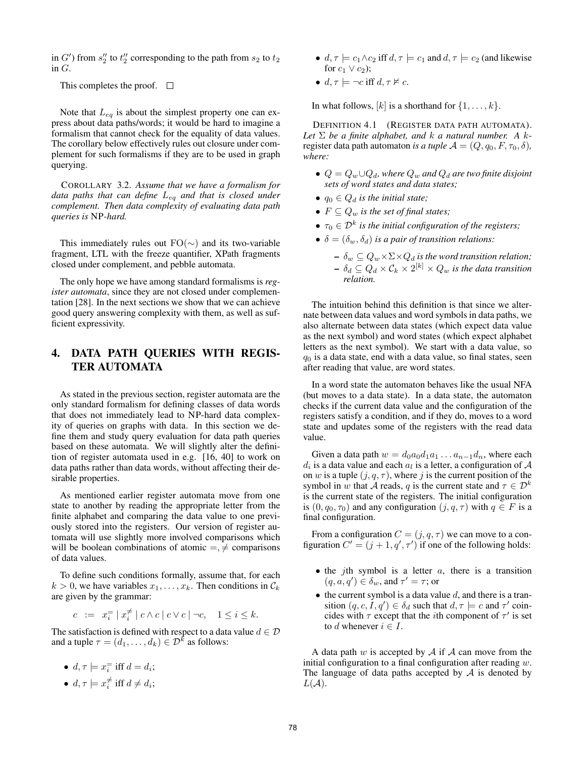in  $G'$ ) from  $s''_2$  to  $t''_2$  corresponding to the path from  $s_2$  to  $t_2$ in *G*.

This completes the proof.  $\square$ 

Note that *Leq* is about the simplest property one can express about data paths/words; it would be hard to imagine a formalism that cannot check for the equality of data values. The corollary below effectively rules out closure under complement for such formalisms if they are to be used in graph querying.

COROLLARY 3.2. *Assume that we have a formalism for data paths that can define Leq and that is closed under complement. Then data complexity of evaluating data path queries is* NP*-hard.*

This immediately rules out FO(*∼*) and its two-variable fragment, LTL with the freeze quantifier, XPath fragments closed under complement, and pebble automata.

The only hope we have among standard formalisms is *register automata*, since they are not closed under complementation [28]. In the next sections we show that we can achieve good query answering complexity with them, as well as sufficient expressivity.

## 4. DATA PATH QUERIES WITH REGIS-TER AUTOMATA

As stated in the previous section, register automata are the only standard formalism for defining classes of data words that does not immediately lead to NP-hard data complexity of queries on graphs with data. In this section we define them and study query evaluation for data path queries based on these automata. We will slightly alter the definition of register automata used in e.g. [16, 40] to work on data paths rather than data words, without affecting their desirable properties.

As mentioned earlier register automata move from one state to another by reading the appropriate letter from the finite alphabet and comparing the data value to one previously stored into the registers. Our version of register automata will use slightly more involved comparisons which will be boolean combinations of atomic  $=$ ,  $\neq$  comparisons of data values.

To define such conditions formally, assume that, for each  $k > 0$ , we have variables  $x_1, \ldots, x_k$ . Then conditions in  $\mathcal{C}_k$ are given by the grammar:

$$
c := x_i^{\pm} \mid x_i^{\neq} \mid c \wedge c \mid c \vee c \mid \neg c, \quad 1 \leq i \leq k.
$$

The satisfaction is defined with respect to a data value  $d \in \mathcal{D}$ and a tuple  $\tau = (d_1, \dots, d_k) \in \mathcal{D}^k$  as follows:

• 
$$
d, \tau \models x_i^= \text{ iff } d = d_i;
$$

•  $d, \tau \models x_i^{\neq}$  iff  $d \neq d_i$ ;

- $d, \tau \models c_1 \land c_2$  iff  $d, \tau \models c_1$  and  $d, \tau \models c_2$  (and likewise for  $c_1 \vee c_2$ ;
- $d, \tau \models \neg c$  iff  $d, \tau \not\models c$ .

In what follows,  $[k]$  is a shorthand for  $\{1, \ldots, k\}$ .

DEFINITION 4.1 (REGISTER DATA PATH AUTOMATA). *Let*  $\Sigma$  *be a finite alphabet, and*  $k$  *a natural number.* A  $k$ register data path automaton *is a tuple*  $A = (Q, q_0, F, \tau_0, \delta)$ , *where:*

- $Q = Q_w ∪ Q_d$ *, where*  $Q_w$  *and*  $Q_d$  *are two finite disjoint sets of word states and data states;*
- $q_0 \in Q_d$  *is the initial state;*
- $F \subseteq Q_w$  *is the set of final states;*
- *• τ*<sup>0</sup> *∈ D<sup>k</sup> is the initial configuration of the registers;*
- $\delta = (\delta_w, \delta_d)$  *is a pair of transition relations:* 
	- $\delta_w \subseteq Q_w \times \Sigma \times Q_d$  is the word transition relation;  $\delta_d \subseteq Q_d \times \mathcal{C}_k \times 2^{[k]} \times Q_w$  is the data transition *relation.*

The intuition behind this definition is that since we alternate between data values and word symbols in data paths, we also alternate between data states (which expect data value as the next symbol) and word states (which expect alphabet letters as the next symbol). We start with a data value, so *q*<sup>0</sup> is a data state, end with a data value, so final states, seen after reading that value, are word states.

In a word state the automaton behaves like the usual NFA (but moves to a data state). In a data state, the automaton checks if the current data value and the configuration of the registers satisfy a condition, and if they do, moves to a word state and updates some of the registers with the read data value.

Given a data path  $w = d_0a_0d_1a_1 \ldots a_{n-1}d_n$ , where each  $d_i$  is a data value and each  $a_l$  is a letter, a configuration of  $A$ on *w* is a tuple  $(j, q, \tau)$ , where *j* is the current position of the symbol in *w* that *A* reads, *q* is the current state and  $\tau \in \mathcal{D}^k$ is the current state of the registers. The initial configuration is  $(0, q_0, \tau_0)$  and any configuration  $(j, q, \tau)$  with  $q \in F$  is a final configuration.

From a configuration  $C = (j, q, \tau)$  we can move to a configuration  $C' = (j + 1, q', \tau')$  if one of the following holds:

- *•* the *j*th symbol is a letter *a*, there is a transition  $(q, a, q') \in \delta_w$ , and  $\tau' = \tau$ ; or
- *•* the current symbol is a data value *d*, and there is a transition  $(q, c, I, q') \in \delta_d$  such that  $d, \tau \models c$  and  $\tau'$  coincides with  $\tau$  except that the *i*th component of  $\tau'$  is set to *d* whenever  $i \in I$ .

A data path *w* is accepted by *A* if *A* can move from the initial configuration to a final configuration after reading *w*. The language of data paths accepted by *A* is denoted by *L*(*A*).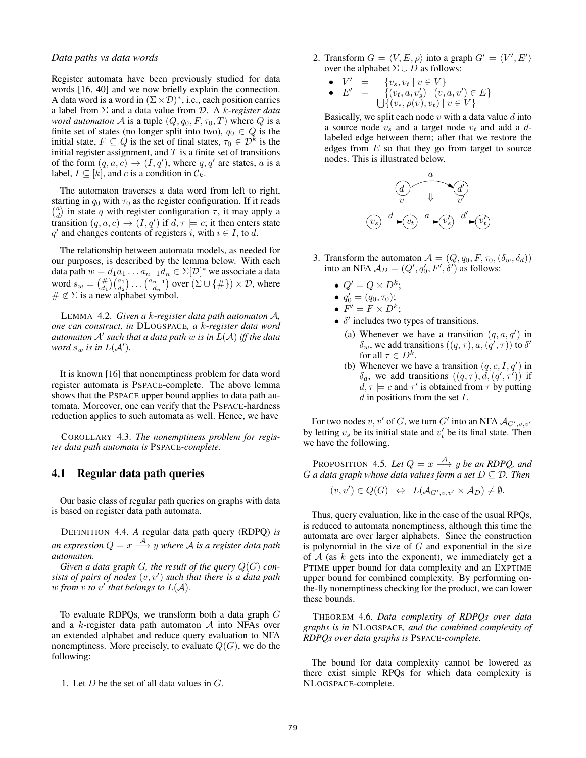#### *Data paths vs data words*

Register automata have been previously studied for data words [16, 40] and we now briefly explain the connection. A data word is a word in (Σ*×D*) *∗* , i.e., each position carries a label from Σ and a data value from *D*. A *k-register data word automaton A* is a tuple  $(Q, q_0, F, \tau_0, T)$  where *Q* is a finite set of states (no longer split into two),  $q_0 \in Q$  is the initial state,  $F \subseteq Q$  is the set of final states,  $\tau_0 \in \mathcal{D}^k$  is the initial register assignment, and *T* is a finite set of transitions of the form  $(q, a, c) \rightarrow (I, q')$ , where  $q, q'$  are states, a is a label,  $I \subseteq [k]$ , and *c* is a condition in  $\mathcal{C}_k$ .

The automaton traverses a data word from left to right, starting in  $q_0$  with  $\tau_0$  as the register configuration. If it reads  $\begin{pmatrix} a \\ d \end{pmatrix}$  in state *q* with register configuration *τ*, it may apply a transition  $(q, a, c) \rightarrow (I, q')$  if  $d, \tau \models c$ ; it then enters state  $q'$  and changes contents of registers *i*, with  $i \in I$ , to *d*.

The relationship between automata models, as needed for our purposes, is described by the lemma below. With each data path  $w = d_1 a_1 \dots a_{n-1} d_n \in \Sigma[D]^*$  we associate a data word  $s_w = \binom{\#}{d_1} \binom{a_1}{d_2} \ldots \binom{a_{n-1}}{d_n}$  over  $(\Sigma \cup \{\#\}) \times \mathcal{D}$ , where  $# \notin \Sigma$  is a new alphabet symbol.

LEMMA 4.2. *Given a k-register data path automaton A, one can construct, in* DLOGSPACE*, a k-register data word automaton A′ such that a data path w is in L*(*A*) *iff the data word*  $s_w$  *is in*  $L(\mathcal{A}')$ *.* 

It is known [16] that nonemptiness problem for data word register automata is PSPACE-complete. The above lemma shows that the PSPACE upper bound applies to data path automata. Moreover, one can verify that the PSPACE-hardness reduction applies to such automata as well. Hence, we have

COROLLARY 4.3. *The nonemptiness problem for register data path automata is* PSPACE*-complete.*

## 4.1 Regular data path queries

Our basic class of regular path queries on graphs with data is based on register data path automata.

DEFINITION 4.4. *A* regular data path query (RDPQ) *is an expression*  $Q = x \stackrel{\mathcal{A}}{\longrightarrow} y$  where  $\mathcal A$  *is a register data path automaton.*

*Given a data graph G, the result of the query*  $Q(G)$  *consists of pairs of nodes* (*v, v′* ) *such that there is a data path w* from *v to v*<sup> $\prime$ </sup> *that belongs to*  $L(\mathcal{A})$ *.* 

To evaluate RDPQs, we transform both a data graph *G* and a *k*-register data path automaton *A* into NFAs over an extended alphabet and reduce query evaluation to NFA nonemptiness. More precisely, to evaluate  $Q(G)$ , we do the following:

1. Let *D* be the set of all data values in *G*.

2. Transform  $G = \langle V, E, \rho \rangle$  into a graph  $G' = \langle V', E' \rangle$ over the alphabet  $\Sigma \cup D$  as follows:

\n- $$
V' = \{v_s, v_t \mid v \in V\}
$$
\n- $E' = \{(v_t, a, v'_s) \mid (v, a, v') \in E\}$
\n- $\bigcup \{(v_s, \rho(v), v_t) \mid v \in V\}$
\n

Basically, we split each node *v* with a data value *d* into a source node *v<sup>s</sup>* and a target node *v<sup>t</sup>* and add a *d*labeled edge between them; after that we restore the edges from *E* so that they go from target to source nodes. This is illustrated below.



- 3. Transform the automaton  $A = (Q, q_0, F, \tau_0, (\delta_w, \delta_d))$ into an NFA  $\mathcal{A}_D = (Q', q'_0, F', \delta')$  as follows:
	- $Q' = Q \times D^k$ ;
	- $q'_0 = (q_0, \tau_0);$
	- $F' = F \times D^k$ ;
	- *• δ ′* includes two types of transitions.
		- (a) Whenever we have a transition  $(q, a, q')$  in  $\delta_w$ , we add transitions  $((q, \tau), a, (q', \tau))$  to  $\delta'$ for all  $\tau \in D^k$ .
		- (b) Whenever we have a transition  $(q, c, I, q')$  in  $\delta_d$ , we add transitions  $((q, \tau), d, (q', \tau'))$  if  $d, \tau \models c$  and  $\tau'$  is obtained from  $\tau$  by putting *d* in positions from the set *I*.

For two nodes  $v, v'$  of  $G$ , we turn  $G'$  into an NFA  $\mathcal{A}_{G',v,v'}$ by letting  $v_s$  be its initial state and  $v'_t$  be its final state. Then we have the following.

PROPOSITION 4.5. Let  $Q = x \stackrel{A}{\longrightarrow} y$  be an RDPQ, and *G a* data graph whose data values form a set  $D \subseteq \overline{D}$ . Then

$$
(v, v') \in Q(G) \iff L(\mathcal{A}_{G',v,v'} \times \mathcal{A}_D) \neq \emptyset.
$$

Thus, query evaluation, like in the case of the usual RPQs, is reduced to automata nonemptiness, although this time the automata are over larger alphabets. Since the construction is polynomial in the size of *G* and exponential in the size of *A* (as *k* gets into the exponent), we immediately get a PTIME upper bound for data complexity and an EXPTIME upper bound for combined complexity. By performing onthe-fly nonemptiness checking for the product, we can lower these bounds.

THEOREM 4.6. *Data complexity of RDPQs over data graphs is in* NLOGSPACE*, and the combined complexity of RDPQs over data graphs is* PSPACE*-complete.*

The bound for data complexity cannot be lowered as there exist simple RPQs for which data complexity is NLOGSPACE-complete.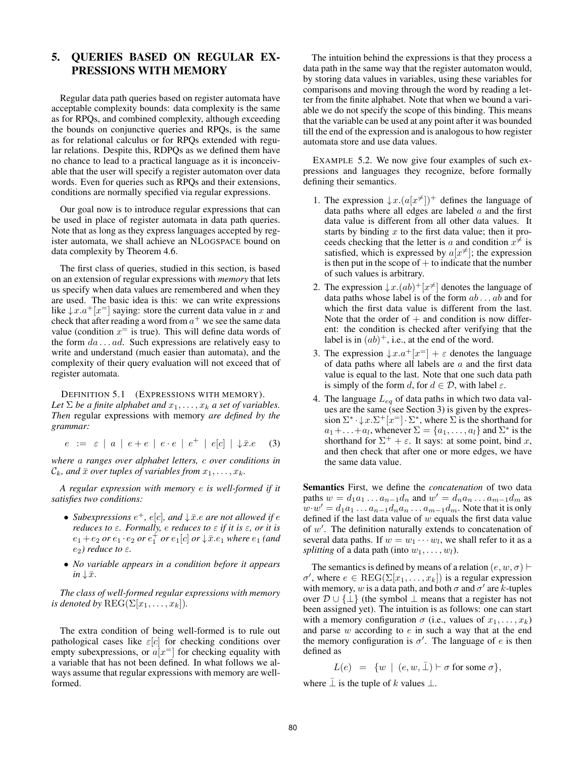# 5. QUERIES BASED ON REGULAR EX-PRESSIONS WITH MEMORY

Regular data path queries based on register automata have acceptable complexity bounds: data complexity is the same as for RPQs, and combined complexity, although exceeding the bounds on conjunctive queries and RPQs, is the same as for relational calculus or for RPQs extended with regular relations. Despite this, RDPQs as we defined them have no chance to lead to a practical language as it is inconceivable that the user will specify a register automaton over data words. Even for queries such as RPQs and their extensions, conditions are normally specified via regular expressions.

Our goal now is to introduce regular expressions that can be used in place of register automata in data path queries. Note that as long as they express languages accepted by register automata, we shall achieve an NLOGSPACE bound on data complexity by Theorem 4.6.

The first class of queries, studied in this section, is based on an extension of regular expressions with *memory* that lets us specify when data values are remembered and when they are used. The basic idea is this: we can write expressions like  $\downarrow x.a^+[x^-]$  saying: store the current data value in *x* and check that after reading a word from  $a^+$  we see the same data value (condition  $x^=$  is true). This will define data words of the form *da . . . ad*. Such expressions are relatively easy to write and understand (much easier than automata), and the complexity of their query evaluation will not exceed that of register automata.

DEFINITION 5.1 (EXPRESSIONS WITH MEMORY). *Let*  $\Sigma$  *be a finite alphabet and*  $x_1, \ldots, x_k$  *a set of variables. Then* regular expressions with memory *are defined by the grammar:*

$$
e := \varepsilon \mid a \mid e + e \mid e \cdot e \mid e^+ \mid e[c] \mid \downarrow \bar{x}.e \quad (3)
$$

*where a ranges over alphabet letters, c over conditions in*  $\mathcal{C}_k$ *, and*  $\bar{x}$  *over tuples of variables from*  $x_1, \ldots, x_k$ *.* 

*A regular expression with memory e is well-formed if it satisfies two conditions:*

- *Subexpressions*  $e^+$ ,  $e[c]$ , and  $\downarrow \bar{x}$ .e are not allowed if  $e$ *reduces to ε. Formally, e reduces to ε if it is ε, or it is*  $e_1 + e_2$  *or*  $e_1 \cdot e_2$  *or*  $e_1^+$  *or*  $e_1[c]$  *or*  $\downarrow \bar{x}.e_1$  *where*  $e_1$  *(and e*2*) reduce to ε.*
- *• No variable appears in a condition before it appears*  $in \downarrow \bar{x}$ .

*The class of well-formed regular expressions with memory is denoted by*  $\text{REG}(\Sigma[x_1, \ldots, x_k])$ *.* 

The extra condition of being well-formed is to rule out pathological cases like *ε*[*c*] for checking conditions over empty subexpressions, or  $a[x^=]$  for checking equality with a variable that has not been defined. In what follows we always assume that regular expressions with memory are wellformed.

The intuition behind the expressions is that they process a data path in the same way that the register automaton would, by storing data values in variables, using these variables for comparisons and moving through the word by reading a letter from the finite alphabet. Note that when we bound a variable we do not specify the scope of this binding. This means that the variable can be used at any point after it was bounded till the end of the expression and is analogous to how register automata store and use data values.

EXAMPLE 5.2. We now give four examples of such expressions and languages they recognize, before formally defining their semantics.

- 1. The expression  $\downarrow x.(a[x \neq])^+$  defines the language of data paths where all edges are labeled *a* and the first data value is different from all other data values. It starts by binding *x* to the first data value; then it proceeds checking that the letter is *a* and condition  $x^{\neq}$  is satisfied, which is expressed by  $a[x^{\neq}]$ ; the expression is then put in the scope of  $+$  to indicate that the number of such values is arbitrary.
- 2. The expression  $\downarrow x.(ab)^{+}[x^{\neq}]$  denotes the language of data paths whose label is of the form *ab . . . ab* and for which the first data value is different from the last. Note that the order of  $+$  and condition is now different: the condition is checked after verifying that the label is in  $(ab)^+$ , i.e., at the end of the word.
- 3. The expression  $\downarrow x.a^+[x^=] + \varepsilon$  denotes the language of data paths where all labels are *a* and the first data value is equal to the last. Note that one such data path is simply of the form *d*, for  $d \in \mathcal{D}$ , with label  $\varepsilon$ .
- 4. The language *Leq* of data paths in which two data values are the same (see Section 3) is given by the expression  $\Sigma^* \cdot \downarrow x . \Sigma^+ [x^=] \cdot \Sigma^*$ , where  $\Sigma$  is the shorthand for  $a_1 + \ldots + a_l$ , whenever  $\Sigma = \{a_1, \ldots, a_l\}$  and  $\Sigma^*$  is the shorthand for  $\Sigma^+ + \varepsilon$ . It says: at some point, bind *x*, and then check that after one or more edges, we have the same data value.

Semantics First, we define the *concatenation* of two data paths  $w = d_1 a_1 \dots a_{n-1} d_n$  and  $w' = d_n a_n \dots a_{m-1} d_m$  as  $w \cdot w' = d_1 a_1 \dots a_{n-1} d_n a_n \dots a_{m-1} d_m$ . Note that it is only defined if the last data value of *w* equals the first data value of *w ′* . The definition naturally extends to concatenation of several data paths. If  $w = w_1 \cdots w_l$ , we shall refer to it as a *splitting* of a data path (into  $w_1, \ldots, w_l$ ).

The semantics is defined by means of a relation  $(e, w, \sigma)$  *⊢*  $\sigma'$ , where  $e \in \text{REG}(\Sigma[x_1, \ldots, x_k])$  is a regular expression with memory, *w* is a data path, and both  $\sigma$  and  $\sigma'$  are *k*-tuples over *D ∪ {⊥}* (the symbol *⊥* means that a register has not been assigned yet). The intuition is as follows: one can start with a memory configuration  $\sigma$  (i.e., values of  $x_1, \ldots, x_k$ ) and parse *w* according to *e* in such a way that at the end the memory configuration is  $\sigma'$ . The language of *e* is then defined as

$$
L(e) = \{ w \mid (e, w, \bar{\perp}) \vdash \sigma \text{ for some } \sigma \},
$$

where  $\bar{\perp}$  is the tuple of *k* values  $\bot$ .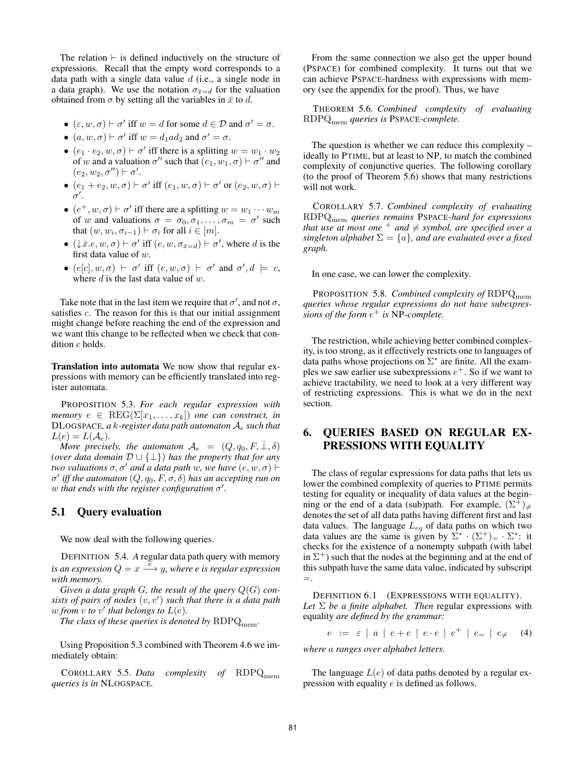The relation *⊢* is defined inductively on the structure of expressions. Recall that the empty word corresponds to a data path with a single data value *d* (i.e., a single node in a data graph). We use the notation  $\sigma_{\bar{x}=d}$  for the valuation obtained from  $\sigma$  by setting all the variables in  $\bar{x}$  to *d*.

- $(\varepsilon, w, \sigma) \vdash \sigma'$  iff  $w = d$  for some  $d \in \mathcal{D}$  and  $\sigma' = \sigma$ .
- $(a, w, \sigma) \vdash \sigma'$  iff  $w = d_1 a d_2$  and  $\sigma' = \sigma$ .
- $(e_1 \cdot e_2, w, \sigma) \vdash \sigma'$  iff there is a splitting  $w = w_1 \cdot w_2$ of *w* and a valuation  $\sigma''$  such that  $(e_1, w_1, \sigma) \vdash \sigma''$  and  $(e_2, w_2, \sigma'') \vdash \sigma'.$
- $\bullet$  (*e*<sub>1</sub> + *e*<sub>2</sub>*, w, σ*) *⊦ σ*' iff (*e*<sub>1</sub>*, w, σ*) *⊦ σ*' or (*e*<sub>2</sub>*, w, σ*) *⊦ σ ′* .
- $(e^+, w, \sigma) \vdash \sigma'$  iff there are a splitting  $w = w_1 \cdots w_m$ of *w* and valuations  $\sigma = \sigma_0, \sigma_1, \ldots, \sigma_m = \sigma'$  such that  $(w, w_i, \sigma_{i-1}) \vdash \sigma_i$  for all  $i \in [m]$ .
- $(\downarrow \bar{x}.e, w, \sigma) \vdash \sigma'$  iff  $(e, w, \sigma_{\bar{x}=d}) \vdash \sigma'$ , where *d* is the first data value of *w*.
- $\bullet$  (*e*[*c*], *w*, *σ*) *⊦ σ*' iff (*e*, *w*, *σ*) *⊦ σ*' and *σ*', *d*  $\models$  *c*, where *d* is the last data value of *w*.

Take note that in the last item we require that  $\sigma'$ , and not  $\sigma$ , satisfies *c*. The reason for this is that our initial assignment might change before reaching the end of the expression and we want this change to be reflected when we check that condition *c* holds.

Translation into automata We now show that regular expressions with memory can be efficiently translated into register automata.

PROPOSITION 5.3. *For each regular expression with memory*  $e \in \text{REG}(\Sigma[x_1, \ldots, x_k])$  *one can construct, in* DLOGSPACE*, a k-register data path automaton A<sup>e</sup> such that*  $L(e) = L(\mathcal{A}_e).$ 

*More precisely, the automaton*  $\mathcal{A}_e = (Q, q_0, F, \bar{\perp}, \delta)$ *(over data domain D ∪ {⊥}*) *has the property that for any two valuations*  $\sigma$ *,* $\sigma'$  *and a data path w, we have*  $(e, w, \sigma)$  *⊢ σ ′ iff the automaton* (*Q, q*0*, F, σ, δ*) *has an accepting run on w that ends with the register configuration σ ′ .*

#### 5.1 Query evaluation

We now deal with the following queries.

DEFINITION 5.4. *A* regular data path query with memory *is an expression*  $Q = x \stackrel{\tilde{e}}{\longrightarrow} y$ *, where e is regular expression with memory.*

*Given a data graph G, the result of the query*  $Q(G)$  *consists of pairs of nodes* (*v, v′* ) *such that there is a data path w* from  $v$  to  $v'$  that belongs to  $L(e)$ .

*The class of these queries is denoted by*  $RDPQ_{mem}$ *.* 

Using Proposition 5.3 combined with Theorem 4.6 we immediately obtain:

COROLLARY 5.5. *Data complexity of* RDPQ<sub>mem</sub> *queries is in* NLOGSPACE*.*

From the same connection we also get the upper bound (PSPACE) for combined complexity. It turns out that we can achieve PSPACE-hardness with expressions with memory (see the appendix for the proof). Thus, we have

THEOREM 5.6. *Combined complexity of evaluating* RDPQmem *queries is* PSPACE*-complete.*

The question is whether we can reduce this complexity – ideally to PTIME, but at least to NP, to match the combined complexity of conjunctive queries. The following corollary (to the proof of Theorem 5.6) shows that many restrictions will not work.

COROLLARY 5.7. *Combined complexity of evaluating* RDPQmem *queries remains* PSPACE*-hard for expressions that use at most one*  $^+$  *and*  $\neq$  *symbol, are specified over a singleton alphabet*  $\Sigma = \{a\}$ *, and are evaluated over a fixed graph.*

In one case, we can lower the complexity.

PROPOSITION 5.8. *Combined complexity of* RDPQ<sub>mem</sub> *queries whose regular expressions do not have subexpressions of the form e* <sup>+</sup> *is* NP*-complete.*

The restriction, while achieving better combined complexity, is too strong, as it effectively restricts one to languages of data paths whose projections on  $\Sigma^*$  are finite. All the examples we saw earlier use subexpressions *e* <sup>+</sup>. So if we want to achieve tractability, we need to look at a very different way of restricting expressions. This is what we do in the next section.

# 6. QUERIES BASED ON REGULAR EX-PRESSIONS WITH EQUALITY

The class of regular expressions for data paths that lets us lower the combined complexity of queries to PTIME permits testing for equality or inequality of data values at the beginning or the end of a data (sub)path. For example,  $(\Sigma^+)_{\neq}$ denotes the set of all data paths having different first and last data values. The language *Leq* of data paths on which two data values are the same is given by  $\Sigma^* \cdot (\Sigma^+) = \cdot \Sigma^*$ : it checks for the existence of a nonempty subpath (with label in  $\Sigma^+$ ) such that the nodes at the beginning and at the end of this subpath have the same data value, indicated by subscript =.

DEFINITION 6.1 (EXPRESSIONS WITH EQUALITY). *Let* Σ *be a finite alphabet. Then* regular expressions with equality *are defined by the grammar:*

*e* :=  $\varepsilon$  | *a* | *e* + *e* | *e*  $\cdot$  *e* | *e*<sup> $+$ </sup> | *e*<sub>=</sub> | *e*<sub> $\neq$ </sub> (4)

*where a ranges over alphabet letters.*

The language  $L(e)$  of data paths denoted by a regular expression with equality *e* is defined as follows.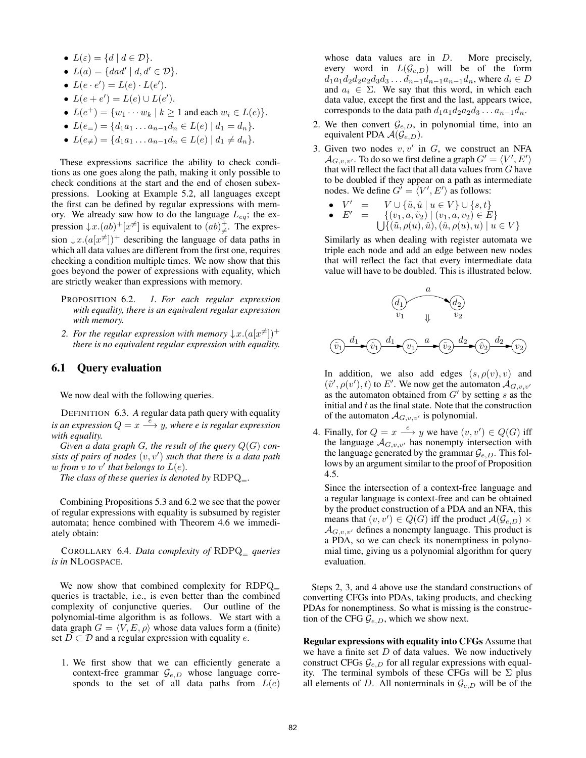- $L(\varepsilon) = \{d \mid d \in \mathcal{D}\}.$
- *• L*(*a*) = *{dad′ | d, d′ ∈ D}*.
- $L(e \cdot e') = L(e) \cdot L(e').$
- $L(e + e') = L(e) \cup L(e').$
- *•*  $L(e^+) = \{w_1 \cdots w_k \mid k \ge 1 \text{ and each } w_i \in L(e)\}.$
- *•*  $L(e_)=$   $\{d_1a_1 \ldots a_{n-1}d_n \in L(e) \mid d_1 = d_n\}.$
- $L(e_{\neq}) = \{d_1a_1 \ldots a_{n-1}d_n \in L(e) \mid d_1 \neq d_n\}.$

These expressions sacrifice the ability to check conditions as one goes along the path, making it only possible to check conditions at the start and the end of chosen subexpressions. Looking at Example 5.2, all languages except the first can be defined by regular expressions with memory. We already saw how to do the language *Leq*; the expression  $\downarrow x.(ab)^{+}[x^{\neq}]$  is equivalent to  $(ab)^{+}_{\neq}$ . The expression  $\downarrow$ *x*. $(a[x^{\neq}]$ <sup>+</sup> describing the language of data paths in which all data values are different from the first one, requires checking a condition multiple times. We now show that this goes beyond the power of expressions with equality, which are strictly weaker than expressions with memory.

- PROPOSITION 6.2. *1. For each regular expression with equality, there is an equivalent regular expression with memory.*
- 2. For the regular expression with memory  $\downarrow x.(a[x^{\neq}])^+$ *there is no equivalent regular expression with equality.*

### 6.1 Query evaluation

We now deal with the following queries.

DEFINITION 6.3. *A* regular data path query with equality *is an expression*  $Q = x \stackrel{\tilde{e}}{\longrightarrow} y$ *, where e is regular expression with equality.*

*Given a data graph G, the result of the query*  $Q(G)$  *consists of pairs of nodes* (*v, v′* ) *such that there is a data path w* from  $v$  to  $v'$  that belongs to  $L(e)$ .

*The class of these queries is denoted by*  $RDPQ$ <sub>=</sub>.

Combining Propositions 5.3 and 6.2 we see that the power of regular expressions with equality is subsumed by register automata; hence combined with Theorem 4.6 we immediately obtain:

COROLLARY 6.4. *Data complexity of* RDPQ<sup>=</sup> *queries is in* NLOGSPACE*.*

We now show that combined complexity for RDPQ queries is tractable, i.e., is even better than the combined complexity of conjunctive queries. Our outline of the polynomial-time algorithm is as follows. We start with a data graph  $G = \langle V, E, \rho \rangle$  whose data values form a (finite) set  $D \subset D$  and a regular expression with equality *e*.

1. We first show that we can efficiently generate a context-free grammar  $\mathcal{G}_{e,D}$  whose language corresponds to the set of all data paths from *L*(*e*)

whose data values are in *D*. More precisely, every word in  $L(\mathcal{G}_{e,D})$  will be of the form  $d_1a_1d_2d_2a_2d_3d_3\dots d_{n-1}d_{n-1}a_{n-1}d_n$ , where  $d_i \in D$ and  $a_i \in \Sigma$ . We say that this word, in which each data value, except the first and the last, appears twice, corresponds to the data path  $d_1a_1d_2a_2d_3 \ldots a_{n-1}d_n$ .

- 2. We then convert  $\mathcal{G}_{e,D}$ , in polynomial time, into an equivalent PDA  $\mathcal{A}(\mathcal{G}_{e,D})$ .
- 3. Given two nodes *v, v′* in *G*, we construct an NFA  $\mathcal{A}_{G,v,v'}$ . To do so we first define a graph  $G' = \langle V', E' \rangle$ that will reflect the fact that all data values from *G* have to be doubled if they appear on a path as intermediate nodes. We define  $G' = \langle V', E' \rangle$  as follows:
	- $V' =$ *′* =  $V \cup {\{\tilde{u}, \hat{u} \mid u \in V\}} \cup \{s, t\}$
	- $\bullet$   $E' = \{ (v_1, a, \tilde{v}_2) \mid (v_1, a, v_2) \in E \}$ <br> $\downarrow \{ \{ (\tilde{u}, \rho(u), \hat{u}), (\hat{u}, \rho(u), u) \mid u \}$  $\{ \int \int \hat{d}(\tilde{u}, \rho(u), \hat{u}), (\hat{u}, \rho(u), u) \mid u \in V \}$

Similarly as when dealing with register automata we triple each node and add an edge between new nodes that will reflect the fact that every intermediate data value will have to be doubled. This is illustrated below.



In addition, we also add edges  $(s, \rho(v), v)$  and  $(\tilde{v}', \rho(v'), t)$  to *E'*. We now get the automaton  $\mathcal{A}_{G,v,v'}$ as the automaton obtained from *G′* by setting *s* as the initial and *t* as the final state. Note that the construction of the automaton  $\mathcal{A}_{G,v,v'}$  is polynomial.

4. Finally, for  $Q = x \xrightarrow{e} y$  we have  $(v, v') \in Q(G)$  iff the language  $A_{G,v,v'}$  has nonempty intersection with the language generated by the grammar  $\mathcal{G}_{e,D}$ . This follows by an argument similar to the proof of Proposition 4.5.

Since the intersection of a context-free language and a regular language is context-free and can be obtained by the product construction of a PDA and an NFA, this means that  $(v, v') \in Q(G)$  iff the product  $\mathcal{A}(\mathcal{G}_{e,D}) \times$  $\mathcal{A}_{G,v,v'}$  defines a nonempty language. This product is a PDA, so we can check its nonemptiness in polynomial time, giving us a polynomial algorithm for query evaluation.

Steps 2, 3, and 4 above use the standard constructions of converting CFGs into PDAs, taking products, and checking PDAs for nonemptiness. So what is missing is the construction of the CFG  $\mathcal{G}_{e,D}$ , which we show next.

Regular expressions with equality into CFGs Assume that we have a finite set *D* of data values. We now inductively construct CFGs  $\mathcal{G}_{e,D}$  for all regular expressions with equality. The terminal symbols of these CFGs will be  $\Sigma$  plus all elements of *D*. All nonterminals in  $\mathcal{G}_{e,D}$  will be of the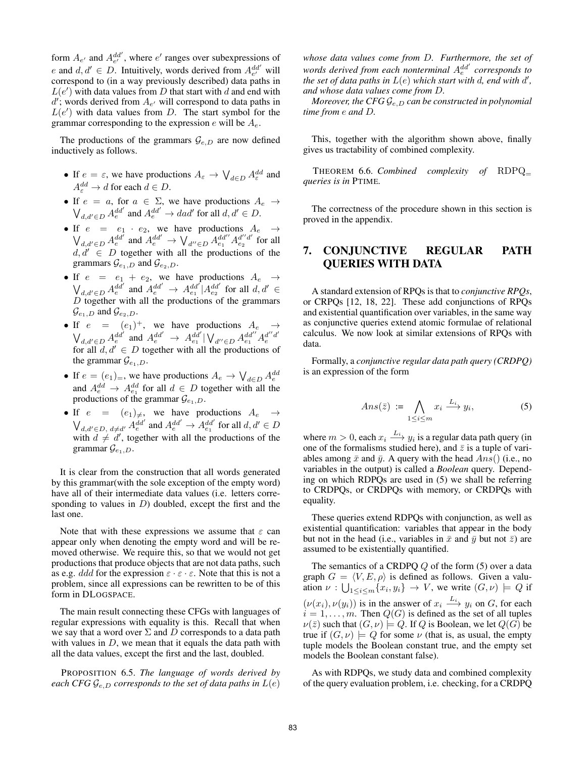form  $A_{e'}$  and  $A_{e'}^{dd'}$ , where  $e'$  ranges over subexpressions of *e* and  $d, d' \in D$ . Intuitively, words derived from  $A_{e'}^{dd'}$  will correspond to (in a way previously described) data paths in  $L(e')$  with data values from *D* that start with *d* and end with  $d'$ ; words derived from  $A_{e'}$  will correspond to data paths in  $L(e')$  with data values from *D*. The start symbol for the grammar corresponding to the expression *e* will be *Ae*.

The productions of the grammars  $\mathcal{G}_{e,D}$  are now defined inductively as follows.

- If  $e = \varepsilon$ , we have productions  $A_{\varepsilon} \to \bigvee_{d \in D} A_{\varepsilon}^{dd}$  and  $A_{\varepsilon}^{dd} \to d$  for each  $d \in D$ .
- If  $e = a$ , for  $a \in \Sigma$ , we have productions  $A_e \rightarrow$  $\bigvee_{d,d' \in D} A_e^{dd'}$  and  $A_e^{dd'} \to dad'$  for all  $d, d' \in D$ .
- If  $e = e_1 \cdot e_2$ , we have productions  $A_e \rightarrow$  $\bigvee_{d,d'\in D}A_e^{dd'}$  and  $A_e^{dd'}\to \bigvee_{d''\in D}A_{e_1}^{dd''}A_{e_2}^{d''d'}$  for all  $d, d' \in D$  together with all the productions of the grammars  $\mathcal{G}_{e_1,D}$  and  $\mathcal{G}_{e_2,D}$ .
- If  $e = e_1 + e_2$ , we have productions  $A_e \rightarrow$  $\bigvee_{d,d' \in D} A_e^{dd'}$  and  $A_e^{dd'} \rightarrow A_{e_1}^{dd'} | A_{e_2}^{dd'}$  for all  $d, d' \in$ *D* together with all the productions of the grammars  $\mathcal{G}_{e_1,D}$  and  $\mathcal{G}_{e_2,D}$ .
- If  $e = (e_1)^+$ , we have productions  $A_e \rightarrow$  $\bigvee_{d,d' \in D} A_e^{dd'}$  and  $A_e^{dd'} \to A_{e_1}^{dd'} | \bigvee_{d'' \in D} A_{e_1}^{dd''} A_e^{d''d'}$ for all  $d, d' \in D$  together with all the productions of the grammar  $\mathcal{G}_{e_1,D}$ .
- If  $e = (e_1)_=$ , we have productions  $A_e \rightarrow \bigvee_{d \in D} A_e^{dd}$ and  $A_e^{dd} \rightarrow A_{e_1}^{dd}$  for all  $d \in D$  together with all the productions of the grammar  $\mathcal{G}_{e_1,D}$ .
- If  $e = (e_1)_\neq$ , we have productions  $A_e \rightarrow$  $\bigvee_{d,d' \in D, d \neq d'} A_e^{dd'}$  and  $A_e^{dd'} \rightarrow A_{e_1}^{dd'}$  for all  $d, d' \in D$ with  $d \neq d'$ , together with all the productions of the grammar  $\mathcal{G}_{e_1,D}$ .

It is clear from the construction that all words generated by this grammar(with the sole exception of the empty word) have all of their intermediate data values (i.e. letters corresponding to values in *D*) doubled, except the first and the last one.

Note that with these expressions we assume that *ε* can appear only when denoting the empty word and will be removed otherwise. We require this, so that we would not get productions that produce objects that are not data paths, such as e.g. *ddd* for the expression  $\varepsilon \cdot \varepsilon \cdot \varepsilon$ . Note that this is not a problem, since all expressions can be rewritten to be of this form in DLOGSPACE.

The main result connecting these CFGs with languages of regular expressions with equality is this. Recall that when we say that a word over  $\Sigma$  and  $D$  corresponds to a data path with values in *D*, we mean that it equals the data path with all the data values, except the first and the last, doubled.

PROPOSITION 6.5. *The language of words derived by each CFG*  $\mathcal{G}_{e,D}$  *corresponds to the set of data paths in*  $L(e)$ 

*whose data values come from D. Furthermore, the set of words derived from each nonterminal Add′ e corresponds to the set of data paths in*  $L(e)$  *which start with d, end with d', and whose data values come from D.*

*Moreover, the CFG Ge,D can be constructed in polynomial time from e and D.*

This, together with the algorithm shown above, finally gives us tractability of combined complexity.

THEOREM 6.6. *Combined complexity of* RDPQ<sup>=</sup> *queries is in* PTIME*.*

The correctness of the procedure shown in this section is proved in the appendix.

## 7. CONJUNCTIVE REGULAR PATH QUERIES WITH DATA

A standard extension of RPQs is that to *conjunctive RPQs*, or CRPQs [12, 18, 22]. These add conjunctions of RPQs and existential quantification over variables, in the same way as conjunctive queries extend atomic formulae of relational calculus. We now look at similar extensions of RPQs with data.

Formally, a *conjunctive regular data path query (CRDPQ)* is an expression of the form

$$
Ans(\bar{z}) := \bigwedge_{1 \le i \le m} x_i \xrightarrow{L_i} y_i,\tag{5}
$$

where  $m > 0$ , each  $x_i \stackrel{L_i}{\longrightarrow} y_i$  is a regular data path query (in one of the formalisms studied here), and  $\bar{z}$  is a tuple of variables among  $\bar{x}$  and  $\bar{y}$ . A query with the head  $Ans()$  (i.e., no variables in the output) is called a *Boolean* query. Depending on which RDPQs are used in (5) we shall be referring to CRDPQs, or CRDPQs with memory, or CRDPQs with equality.

These queries extend RDPQs with conjunction, as well as existential quantification: variables that appear in the body but not in the head (i.e., variables in  $\bar{x}$  and  $\bar{y}$  but not  $\bar{z}$ ) are assumed to be existentially quantified.

The semantics of a CRDPQ *Q* of the form (5) over a data graph  $G = \langle V, E, \rho \rangle$  is defined as follows. Given a valuation  $\nu$  :  $\bigcup_{1 \le i \le m} \{x_i, y_i\} \to V$ , we write  $(G, \nu) \models Q$  if  $(\nu(x_i), \nu(y_i))$  is in the answer of  $x_i \stackrel{L_i}{\longrightarrow} y_i$  on *G*, for each  $i = 1, \ldots, m$ . Then  $Q(G)$  is defined as the set of all tuples  $\nu(\bar{z})$  such that  $(G, \nu) \models Q$ . If *Q* is Boolean, we let  $Q(G)$  be true if  $(G, \nu) \models Q$  for some  $\nu$  (that is, as usual, the empty tuple models the Boolean constant true, and the empty set models the Boolean constant false).

As with RDPQs, we study data and combined complexity of the query evaluation problem, i.e. checking, for a CRDPQ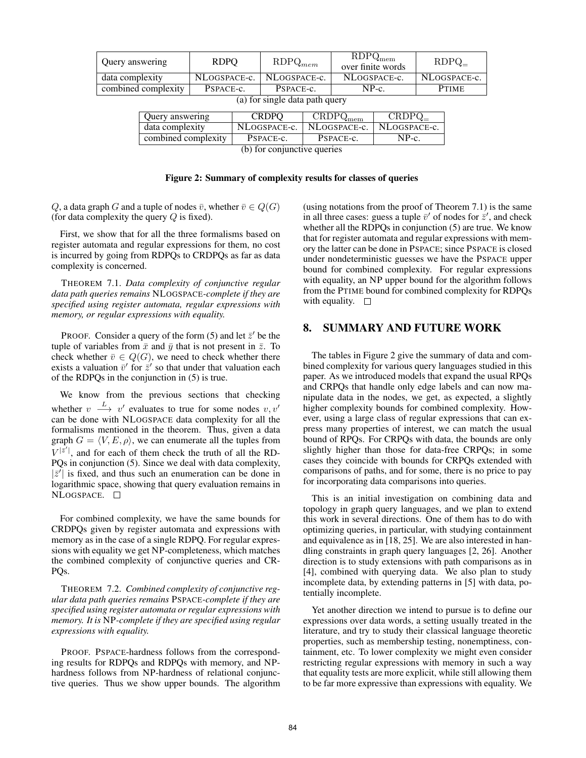| Query answering                |                     | <b>RDPO</b>  |              | $RDPQ_{mem}$ |                                                   | $\overline{\mathrm{RDPQ}}_{\mathrm{mem}}$<br>over finite words |              | $RDPQ_$      |  |
|--------------------------------|---------------------|--------------|--------------|--------------|---------------------------------------------------|----------------------------------------------------------------|--------------|--------------|--|
| data complexity                |                     | NLOGSPACE-c. |              | NLOGSPACE-c. |                                                   | NLOGSPACE-c.                                                   |              | NLOGSPACE-c. |  |
| combined complexity            |                     | PSPACE-c.    |              | PSPACE-c.    |                                                   | $NP-c$ .                                                       |              | <b>PTIME</b> |  |
| (a) for single data path query |                     |              |              |              |                                                   |                                                                |              |              |  |
|                                | Query answering     |              | <b>CRDPO</b> |              | $\overline{\mathrm{CRD}}\mathrm{PQ}_\mathrm{mem}$ |                                                                | $CRDPQ_$     |              |  |
|                                | data complexity     |              | NLOGSPACE-c. |              | NLOGSPACE-c.                                      |                                                                | NLOGSPACE-c. |              |  |
|                                | combined complexity |              | PSPACE-c.    |              | PSPACE-c.                                         |                                                                | $NP-c.$      |              |  |
| (b) for conjunctive queries    |                     |              |              |              |                                                   |                                                                |              |              |  |

(b) for conjunctive queries

#### Figure 2: Summary of complexity results for classes of queries

*Q*, a data graph *G* and a tuple of nodes  $\bar{v}$ , whether  $\bar{v} \in Q(G)$ (for data complexity the query *Q* is fixed).

First, we show that for all the three formalisms based on register automata and regular expressions for them, no cost is incurred by going from RDPQs to CRDPQs as far as data complexity is concerned.

THEOREM 7.1. *Data complexity of conjunctive regular data path queries remains* NLOGSPACE*-complete if they are specified using register automata, regular expressions with memory, or regular expressions with equality.*

PROOF. Consider a query of the form  $(5)$  and let  $\bar{z}'$  be the tuple of variables from  $\bar{x}$  and  $\bar{y}$  that is not present in  $\bar{z}$ . To check whether  $\bar{v} \in Q(G)$ , we need to check whether there exists a valuation  $\bar{v}'$  for  $\bar{z}'$  so that under that valuation each of the RDPQs in the conjunction in (5) is true.

We know from the previous sections that checking whether  $v \stackrel{L}{\longrightarrow} v'$  evaluates to true for some nodes  $v, v'$ can be done with NLOGSPACE data complexity for all the formalisms mentioned in the theorem. Thus, given a data graph  $G = \langle V, E, \rho \rangle$ , we can enumerate all the tuples from  $V^{|\bar{z}'|}$ , and for each of them check the truth of all the RD-PQs in conjunction (5). Since we deal with data complexity,  $|\bar{z}'|$  is fixed, and thus such an enumeration can be done in logarithmic space, showing that query evaluation remains in NLOGSPACE.

For combined complexity, we have the same bounds for CRDPQs given by register automata and expressions with memory as in the case of a single RDPQ. For regular expressions with equality we get NP-completeness, which matches the combined complexity of conjunctive queries and CR-PO<sub>s</sub>.

THEOREM 7.2. *Combined complexity of conjunctive regular data path queries remains* PSPACE*-complete if they are specified using register automata or regular expressions with memory. It is* NP*-complete if they are specified using regular expressions with equality.*

PROOF. PSPACE-hardness follows from the corresponding results for RDPQs and RDPQs with memory, and NPhardness follows from NP-hardness of relational conjunctive queries. Thus we show upper bounds. The algorithm (using notations from the proof of Theorem 7.1) is the same in all three cases: guess a tuple  $\bar{v}'$  of nodes for  $\bar{z}'$ , and check whether all the RDPQs in conjunction (5) are true. We know that for register automata and regular expressions with memory the latter can be done in PSPACE; since PSPACE is closed under nondeterministic guesses we have the PSPACE upper bound for combined complexity. For regular expressions with equality, an NP upper bound for the algorithm follows from the PTIME bound for combined complexity for RDPQs with equality.  $\square$ 

## 8. SUMMARY AND FUTURE WORK

The tables in Figure 2 give the summary of data and combined complexity for various query languages studied in this paper. As we introduced models that expand the usual RPQs and CRPQs that handle only edge labels and can now manipulate data in the nodes, we get, as expected, a slightly higher complexity bounds for combined complexity. However, using a large class of regular expressions that can express many properties of interest, we can match the usual bound of RPQs. For CRPQs with data, the bounds are only slightly higher than those for data-free CRPQs; in some cases they coincide with bounds for CRPQs extended with comparisons of paths, and for some, there is no price to pay for incorporating data comparisons into queries.

This is an initial investigation on combining data and topology in graph query languages, and we plan to extend this work in several directions. One of them has to do with optimizing queries, in particular, with studying containment and equivalence as in [18, 25]. We are also interested in handling constraints in graph query languages [2, 26]. Another direction is to study extensions with path comparisons as in [4], combined with querying data. We also plan to study incomplete data, by extending patterns in [5] with data, potentially incomplete.

Yet another direction we intend to pursue is to define our expressions over data words, a setting usually treated in the literature, and try to study their classical language theoretic properties, such as membership testing, nonemptiness, containment, etc. To lower complexity we might even consider restricting regular expressions with memory in such a way that equality tests are more explicit, while still allowing them to be far more expressive than expressions with equality. We